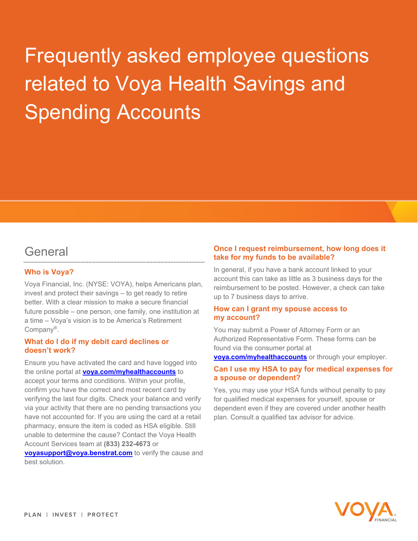# Frequently asked employee questions related to Voya Health Savings and Spending Accounts

### **General**

#### **Who is Voya?**

Voya Financial, Inc. (NYSE: VOYA), helps Americans plan, invest and protect their savings – to get ready to retire better. With a clear mission to make a secure financial future possible – one person, one family, one institution at a time – Voya's vision is to be America's Retirement Company®.

#### **What do I do if my debit card declines or doesn't work?**

Ensure you have activated the card and have logged into the online portal at **[voya.com/myhealthaccounts](http://www.voya.com/myhealthaccounts)** to accept your terms and conditions. Within your profile, confirm you have the correct and most recent card by verifying the last four digits. Check your balance and verify via your activity that there are no pending transactions you have not accounted for. If you are using the card at a retail pharmacy, ensure the item is coded as HSA eligible. Still unable to determine the cause? Contact the Voya Health Account Services team at **(833) 232-4673** or **[voyasupport@voya.benstrat.com](mailto:voyasupport@voya.benstrat.com)** to verify the cause and best solution.

#### **Once I request reimbursement, how long does it take for my funds to be available?**

In general, if you have a bank account linked to your account this can take as little as 3 business days for the reimbursement to be posted. However, a check can take up to 7 business days to arrive.

#### **How can I grant my spouse access to my account?**

You may submit a Power of Attorney Form or an Authorized Representative Form. These forms can be found via the consumer portal at

**[voya.com/myhealthaccounts](http://www.voya.com/myhealthaccounts)** or through your employer.

#### **Can I use my HSA to pay for medical expenses for a spouse or dependent?**

Yes, you may use your HSA funds without penalty to pay for qualified medical expenses for yourself, spouse or dependent even if they are covered under another health plan. Consult a qualified tax advisor for advice.

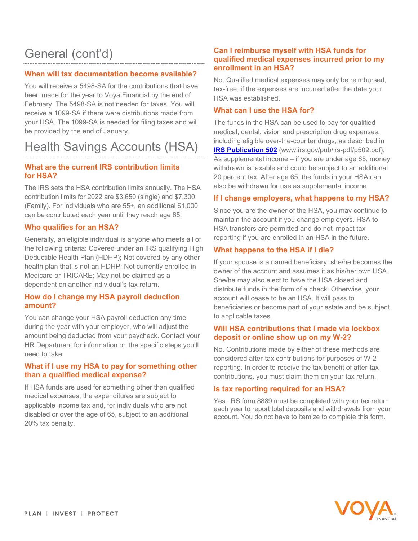## General (cont'd)

#### **When will tax documentation become available?**

You will receive a 5498-SA for the contributions that have been made for the year to Voya Financial by the end of February. The 5498-SA is not needed for taxes. You will receive a 1099-SA if there were distributions made from your HSA. The 1099-SA is needed for filing taxes and will be provided by the end of January.

## Health Savings Accounts (HSA)

#### **What are the current IRS contribution limits for HSA?**

The IRS sets the HSA contribution limits annually. The HSA contribution limits for 2022 are \$3,650 (single) and \$7,300 (Family). For individuals who are 55+, an additional \$1,000 can be contributed each year until they reach age 65.

#### **Who qualifies for an HSA?**

Generally, an eligible individual is anyone who meets all of the following criteria: Covered under an IRS qualifying High Deductible Health Plan (HDHP); Not covered by any other health plan that is not an HDHP; Not currently enrolled in Medicare or TRICARE; May not be claimed as a dependent on another individual's tax return.

#### **How do I change my HSA payroll deduction amount?**

You can change your HSA payroll deduction any time during the year with your employer, who will adjust the amount being deducted from your paycheck. Contact your HR Department for information on the specific steps you'll need to take.

#### **What if I use my HSA to pay for something other than a qualified medical expense?**

If HSA funds are used for something other than qualified medical expenses, the expenditures are subject to applicable income tax and, for individuals who are not disabled or over the age of 65, subject to an additional 20% tax penalty.

#### **Can I reimburse myself with HSA funds for qualified medical expenses incurred prior to my enrollment in an HSA?**

No. Qualified medical expenses may only be reimbursed, tax-free, if the expenses are incurred after the date your HSA was established.

#### **What can I use the HSA for?**

The funds in the HSA can be used to pay for qualified medical, dental, vision and prescription drug expenses, including eligible over-the-counter drugs, as described in **[IRS Publication 502](http://www.irs.gov/pub/irs-pdf/p502.pdf)** (www.irs.gov/pub/irs-pdf/p502.pdf); As supplemental income – if you are under age 65, money withdrawn is taxable and could be subject to an additional 20 percent tax. After age 65, the funds in your HSA can also be withdrawn for use as supplemental income.

#### **If I change employers, what happens to my HSA?**

Since you are the owner of the HSA, you may continue to maintain the account if you change employers. HSA to HSA transfers are permitted and do not impact tax reporting if you are enrolled in an HSA in the future.

#### **What happens to the HSA if I die?**

If your spouse is a named beneficiary, she/he becomes the owner of the account and assumes it as his/her own HSA. She/he may also elect to have the HSA closed and distribute funds in the form of a check. Otherwise, your account will cease to be an HSA. It will pass to beneficiaries or become part of your estate and be subject to applicable taxes.

#### **Will HSA contributions that I made via lockbox deposit or online show up on my W-2?**

No. Contributions made by either of these methods are considered after-tax contributions for purposes of W-2 reporting. In order to receive the tax benefit of after-tax contributions, you must claim them on your tax return.

#### **Is tax reporting required for an HSA?**

Yes. IRS form 8889 must be completed with your tax return each year to report total deposits and withdrawals from your account. You do not have to itemize to complete this form.